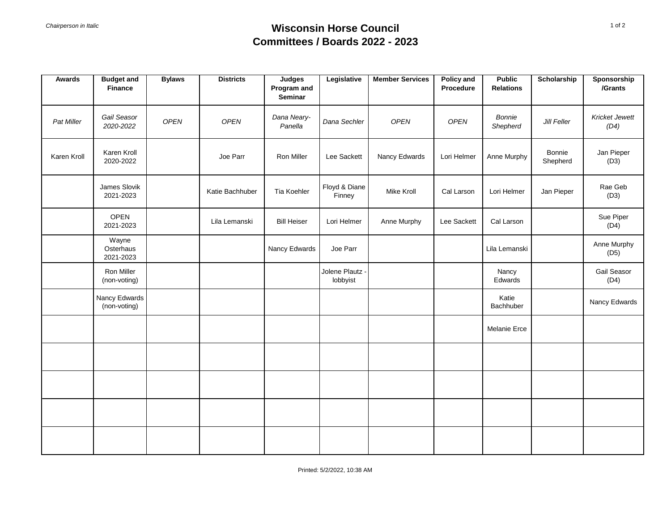## *Chairperson in Italic* **Wisconsin Horse Council Committees / Boards 2022 - 2023**

| Awards      | <b>Budget and</b><br><b>Finance</b> | <b>Bylaws</b> | <b>Districts</b> | <b>Judges</b><br>Program and<br>Seminar | Legislative                 | <b>Member Services</b> | <b>Policy and</b><br>Procedure | <b>Public</b><br><b>Relations</b> | Scholarship        | Sponsorship<br>/Grants        |
|-------------|-------------------------------------|---------------|------------------|-----------------------------------------|-----------------------------|------------------------|--------------------------------|-----------------------------------|--------------------|-------------------------------|
| Pat Miller  | Gail Seasor<br>2020-2022            | OPEN          | OPEN             | Dana Neary-<br>Panella                  | Dana Sechler                | <b>OPEN</b>            | OPEN                           | Bonnie<br>Shepherd                | Jill Feller        | <b>Kricket Jewett</b><br>(D4) |
| Karen Kroll | Karen Kroll<br>2020-2022            |               | Joe Parr         | Ron Miller                              | Lee Sackett                 | Nancy Edwards          | Lori Helmer                    | Anne Murphy                       | Bonnie<br>Shepherd | Jan Pieper<br>(D3)            |
|             | James Slovik<br>2021-2023           |               | Katie Bachhuber  | Tia Koehler                             | Floyd & Diane<br>Finney     | Mike Kroll             | Cal Larson                     | Lori Helmer                       | Jan Pieper         | Rae Geb<br>(D3)               |
|             | <b>OPEN</b><br>2021-2023            |               | Lila Lemanski    | <b>Bill Heiser</b>                      | Lori Helmer                 | Anne Murphy            | Lee Sackett                    | Cal Larson                        |                    | Sue Piper<br>(D4)             |
|             | Wayne<br>Osterhaus<br>2021-2023     |               |                  | Nancy Edwards                           | Joe Parr                    |                        |                                | Lila Lemanski                     |                    | Anne Murphy<br>(D5)           |
|             | Ron Miller<br>(non-voting)          |               |                  |                                         | Jolene Plautz -<br>lobbyist |                        |                                | Nancy<br>Edwards                  |                    | Gail Seasor<br>(D4)           |
|             | Nancy Edwards<br>(non-voting)       |               |                  |                                         |                             |                        |                                | Katie<br>Bachhuber                |                    | Nancy Edwards                 |
|             |                                     |               |                  |                                         |                             |                        |                                | <b>Melanie Erce</b>               |                    |                               |
|             |                                     |               |                  |                                         |                             |                        |                                |                                   |                    |                               |
|             |                                     |               |                  |                                         |                             |                        |                                |                                   |                    |                               |
|             |                                     |               |                  |                                         |                             |                        |                                |                                   |                    |                               |
|             |                                     |               |                  |                                         |                             |                        |                                |                                   |                    |                               |